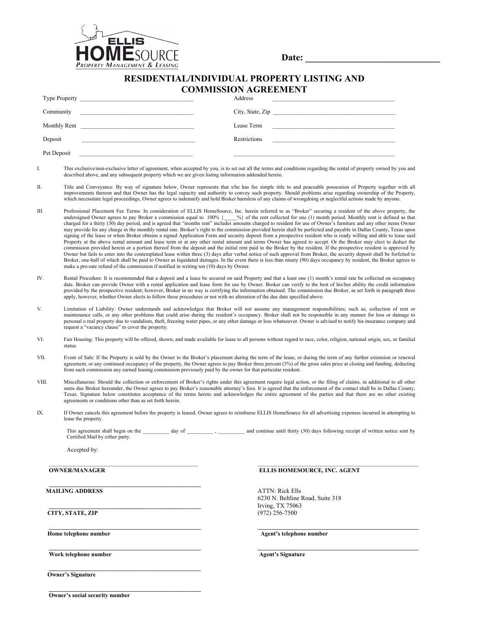

Date:

## **RESIDENTIAL/INDIVIDUAL PROPERTY LISTING AND COMMISSION AGREEMENT**

|                                                                                                                                   | Address                                                                                         |
|-----------------------------------------------------------------------------------------------------------------------------------|-------------------------------------------------------------------------------------------------|
| Community<br><u> 1980 - Jan Barnett, mars eta bat erroman erroman erroman erroman erroman erroman erroman erroman erroman err</u> | City, State, Zip                                                                                |
| Monthly Rent<br>the contract of the contract of the contract of the contract of the contract of                                   | Lease Term                                                                                      |
| Deposit<br>the control of the control of the control of the control of the control of the control of                              | Restrictions<br>the contract of the contract of the contract of the contract of the contract of |
| Pet Deposit                                                                                                                       |                                                                                                 |

- I. This exclusive/non-exclusive letter of agreement, when accepted by you, is to set out all the terms and conditions regarding the rental of property owned by you and described above, and any subsequent property which we are given listing information addended hereto.
- II. Title and Conveyance: By way of signature below, Owner represents that s/he has fee simple title to and peaceable possession of Property together with all improvements thereon and that Owner has the legal capacity and authority to convey such property. Should problems arise regarding ownership of the Property, which necessitate legal proceedings, Owner agrees to indemnify an
- III. Professional Placement Fee Terms: In consideration of ELLIS HomeSource, Inc. herein referred to as "Broker" securing a resident of the above property, the undersigned Owner agrees to pay Broker a commission equal to 100% {www.exploted for the rent collected for one (1) month period. Monthly rent is defined as that that charged for a thirty (30) day period, and is agreed that may provide for any charge in the monthly rental rate. Broker's right to the commission provided herein shall be perfected and payable in Dallas County, Texas upon signing of the lease or when Broker obtains a signed Application Form and security deposit from a prospective resident who is ready willing and able to lease said Property at the above rental amount and lease term or at any other rental amount and terms Owner has agreed to accept. Or the Broker may elect to deduct the commission provided herein or a portion thereof from the deposit and the initial rent paid to the Broker by the resident. If the prospective resident is approved by Owner but fails to enter into the contemplated lease within three (3) days after verbal notice of such approval from Broker, the security deposit shall be forfeited to Broker, one-half of which shall be paid to Owner as liquidated damages. In the event there is less than ninety (90) days occupancy by resident, the Broker agrees to make a pro-rate refund of the commission if notified in writing ten (10) days by Owner.
- IV. Rental Procedure: It is recommended that a deposit and a lease be secured on said Property and that a least one (1) month's rental rate be collected on occupancy date. Broker can provide Owner with a rental application and lease form for use by Owner. Broker can verify to the best of his/her ability the credit information provided by the prospective resident; however, Broker in no way is certifying the information obtained. The commission due Broker, as set forth in paragraph three apply, however, whether Owner elects to follow these procedures or not with no alteration of the due date specified above.
- V. Limitation of Liability: Owner understands and acknowledges that Broker will not assume any management responsibilities; such as, collection of rent or maintenance calls, or any other problems that could arise during the resident's occupancy. Broker shall not be responsible in any manner for loss or damage to personal o real property due to vandalism, theft, freezing water pipes, or any other damage or loss whatsoever. Owner is advised to notify his insurance company and request a "vacancy clause" to cover the property.
- VI. Fair Housing: This property will be offered, shown, and made available for lease to all persons without regard to race, color, religion, national origin, sex, or familial status.
- VII. Event of Sale: If the Property is sold by the Owner to the Broker's placement during the term of the lease, or during the term of any further extension or renewal agreement, or any continued occupancy of the property, the Owner agrees to pay Broker three percent (3%) of the gross sales price at closing and funding, deducting<br>from such commission any earned leasing commission previou
- VIII. Miscellaneous: Should the collection or enforcement of Broker's rights under this agreement require legal action, or the filing of claims, in additional to all other sums due Broker hereunder, the Owner agrees to pay Broker's reasonable attorney's fees. It is agreed that the enforcement of the contact shall be in Dallas County, Texas. Signature below constitutes acceptance of the terms hereto and acknowledges the entire agreement of the parties and that there are no other existing agreements or conditions other than as set forth herein.
- IX. If Owner cancels this agreement before the property is leased, Owner agrees to reimburse ELLIS HomeSource for all advertising expenses incurred in attempting to lease the property.

This agreement shall begin on the \_\_\_\_\_\_\_\_ day of \_\_\_\_\_\_\_\_\_\_ , \_\_\_\_\_\_\_\_ and continue until thirty (30) days following receipt of written notice sent by Certified Mail by either party.

 $\mathcal{L}_\text{max} = \frac{1}{2} \sum_{i=1}^n \mathcal{L}_\text{max} = \frac{1}{2} \sum_{i=1}^n \mathcal{L}_\text{max} = \frac{1}{2} \sum_{i=1}^n \mathcal{L}_\text{max} = \frac{1}{2} \sum_{i=1}^n \mathcal{L}_\text{max} = \frac{1}{2} \sum_{i=1}^n \mathcal{L}_\text{max} = \frac{1}{2} \sum_{i=1}^n \mathcal{L}_\text{max} = \frac{1}{2} \sum_{i=1}^n \mathcal{L}_\text{max} = \frac{1}{2} \sum_{i=$ 

**\_\_\_\_\_\_\_\_\_\_\_\_\_\_\_\_\_\_\_\_\_\_\_\_\_\_\_\_\_\_\_\_\_\_\_\_\_\_\_\_\_\_\_\_\_\_\_\_\_\_\_ \_\_\_\_\_\_\_\_\_\_\_\_\_\_\_\_\_\_\_\_\_\_\_\_\_\_\_\_\_\_\_\_\_\_\_\_\_\_\_\_\_\_\_\_\_\_\_\_\_\_\_\_\_\_**

Accepted by:

**OWNER/MANAGER ELLIS HOMESOURCE, INC. AGENT** 

 $\mathcal{L} = \{ \mathcal{L} \mathcal{L} \mathcal{L} \mathcal{L} \mathcal{L} \mathcal{L} \mathcal{L} \mathcal{L} \mathcal{L} \mathcal{L} \mathcal{L} \mathcal{L} \mathcal{L} \mathcal{L} \mathcal{L} \mathcal{L} \mathcal{L} \mathcal{L} \mathcal{L} \mathcal{L} \mathcal{L} \mathcal{L} \mathcal{L} \mathcal{L} \mathcal{L} \mathcal{L} \mathcal{L} \mathcal{L} \mathcal{L} \mathcal{L} \mathcal{L} \mathcal{L} \mathcal{L} \mathcal{L} \mathcal{L} \$ 

 $\mathcal{L} = \{ \mathcal{L} \mathcal{L} \mathcal{L} \mathcal{L} \mathcal{L} \mathcal{L} \mathcal{L} \mathcal{L} \mathcal{L} \mathcal{L} \mathcal{L} \mathcal{L} \mathcal{L} \mathcal{L} \mathcal{L} \mathcal{L} \mathcal{L} \mathcal{L} \mathcal{L} \mathcal{L} \mathcal{L} \mathcal{L} \mathcal{L} \mathcal{L} \mathcal{L} \mathcal{L} \mathcal{L} \mathcal{L} \mathcal{L} \mathcal{L} \mathcal{L} \mathcal{L} \mathcal{L} \mathcal{L} \mathcal{L} \$ 

**\_\_\_\_\_\_\_\_\_\_\_\_\_\_\_\_\_\_\_\_\_\_\_\_\_\_\_\_\_\_\_\_\_\_\_\_\_\_\_\_\_\_\_\_\_\_\_\_\_\_\_**

**MAILING ADDRESS** ATTN: Rick Ells

**CITY, STATE, ZIP** 

**Home telephone number Agent's telephone number** Agent's telephone number

Work telephone number **Agent's Signature** Agent's Signature

**\_\_\_\_\_\_\_\_\_\_\_\_\_\_\_\_\_\_\_\_\_\_\_\_\_\_\_\_\_\_\_\_\_\_\_\_\_\_\_\_\_\_\_\_\_\_\_\_\_\_\_ \_\_\_\_\_\_\_\_\_\_\_\_\_\_\_\_\_\_\_\_\_\_\_\_\_\_\_\_\_\_\_\_\_\_\_\_\_\_\_\_\_\_\_\_\_\_\_\_\_\_\_\_\_\_**

Irving, TX 75063<br>(972) 256-7500

6230 N. Beltline Road, Suite 318

 **Owner's Signature**

**Owner's social security number**